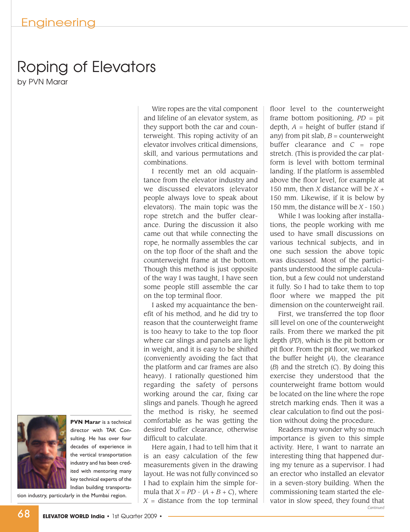## Roping of Elevators

by PVN Marar



**PVN Marar** is a technical director with TAK Consulting. He has over four decades of experience in the vertical transportation industry and has been credited with mentoring many key technical experts of the Indian building transportation industry, particularly in the Mumbai region.

Wire ropes are the vital component and lifeline of an elevator system, as they support both the car and counterweight. This roping activity of an elevator involves critical dimensions, skill, and various permutations and combinations.

I recently met an old acquaintance from the elevator industry and we discussed elevators (elevator people always love to speak about elevators). The main topic was the rope stretch and the buffer clearance. During the discussion it also came out that while connecting the rope, he normally assembles the car on the top floor of the shaft and the counterweight frame at the bottom. Though this method is just opposite of the way I was taught, I have seen some people still assemble the car on the top terminal floor.

I asked my acquaintance the benefit of his method, and he did try to reason that the counterweight frame is too heavy to take to the top floor where car slings and panels are light in weight, and it is easy to be shifted (conveniently avoiding the fact that the platform and car frames are also heavy). I rationally questioned him regarding the safety of persons working around the car, fixing car slings and panels. Though he agreed the method is risky, he seemed comfortable as he was getting the desired buffer clearance, otherwise difficult to calculate.

Here again, I had to tell him that it is an easy calculation of the few measurements given in the drawing layout. He was not fully convinced so I had to explain him the simple formula that  $X = PD - (A + B + C)$ , where  $X =$  distance from the top terminal

floor level to the counterweight frame bottom positioning, *PD* = pit depth,  $A =$  height of buffer (stand if any) from pit slab,  $B =$  counterweight buffer clearance and  $C =$  rope stretch. (This is provided the car platform is level with bottom terminal landing. If the platform is assembled above the floor level, for example at 150 mm, then *X* distance will be *X* + 150 mm. Likewise, if it is below by 150 mm, the distance will be *X* - 150.)

While I was looking after installations, the people working with me used to have small discussions on various technical subjects, and in one such session the above topic was discussed. Most of the participants understood the simple calculation, but a few could not understand it fully. So I had to take them to top floor where we mapped the pit dimension on the counterweight rail.

First, we transferred the top floor sill level on one of the counterweight rails. From there we marked the pit depth (*PD*), which is the pit bottom or pit floor. From the pit floor, we marked the buffer height (*A*), the clearance (*B*) and the stretch (*C*). By doing this exercise they understood that the counterweight frame bottom would be located on the line where the rope stretch marking ends. Then it was a clear calculation to find out the position without doing the procedure.

Readers may wonder why so much importance is given to this simple activity. Here, I want to narrate an interesting thing that happened during my tenure as a supervisor. I had an erector who installed an elevator in a seven-story building. When the commissioning team started the elevator in slow speed, they found that *Continued*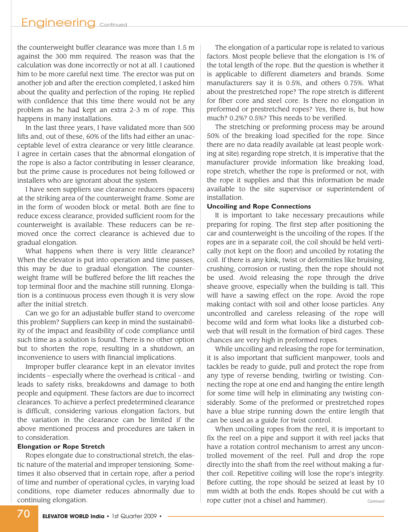the counterweight buffer clearance was more than 1.5 m against the 300 mm required. The reason was that the calculation was done incorrectly or not at all. I cautioned him to be more careful next time. The erector was put on another job and after the erection completed, I asked him about the quality and perfection of the roping. He replied with confidence that this time there would not be any problem as he had kept an extra 2-3 m of rope. This happens in many installations.

In the last three years, I have validated more than 500 lifts and, out of these, 60% of the lifts had either an unacceptable level of extra clearance or very little clearance. I agree in certain cases that the abnormal elongation of the rope is also a factor contributing in lesser clearance, but the prime cause is procedures not being followed or installers who are ignorant about the system.

I have seen suppliers use clearance reducers (spacers) at the striking area of the counterweight frame. Some are in the form of wooden block or metal. Both are fine to reduce excess clearance, provided sufficient room for the counterweight is available. These reducers can be removed once the correct clearance is achieved due to gradual elongation.

What happens when there is very little clearance? When the elevator is put into operation and time passes, this may be due to gradual elongation. The counterweight frame will be buffered before the lift reaches the top terminal floor and the machine still running. Elongation is a continuous process even though it is very slow after the initial stretch.

Can we go for an adjustable buffer stand to overcome this problem? Suppliers can keep in mind the sustainability of the impact and feasibility of code compliance until such time as a solution is found. There is no other option but to shorten the rope, resulting in a shutdown, an inconvenience to users with financial implications.

Improper buffer clearance kept in an elevator invites incidents – especially where the overhead is critical – and leads to safety risks, breakdowns and damage to both people and equipment. These factors are due to incorrect clearances. To achieve a perfect predetermined clearance is difficult, considering various elongation factors, but the variation in the clearance can be limited if the above mentioned process and procedures are taken in to consideration.

#### **Elongation or Rope Stretch**

Ropes elongate due to constructional stretch, the elastic nature of the material and improper tensioning. Sometimes it also observed that in certain rope, after a period of time and number of operational cycles, in varying load conditions, rope diameter reduces abnormally due to continuing elongation.

The elongation of a particular rope is related to various factors. Most people believe that the elongation is 1% of the total length of the rope. But the question is whether it is applicable to different diameters and brands. Some manufacturers say it is 0.5%, and others 0.75%. What about the prestretched rope? The rope stretch is different for fiber core and steel core. Is there no elongation in preformed or prestretched ropes? Yes, there is, but how much? 0.2%? 0.5%? This needs to be verified.

The stretching or preforming process may be around 50% of the breaking load specified for the rope. Since there are no data readily available (at least people working at site) regarding rope stretch, it is imperative that the manufacturer provide information like breaking load, rope stretch, whether the rope is preformed or not, with the rope it supplies and that this information be made available to the site supervisor or superintendent of installation.

#### **Uncoiling and Rope Connections**

It is important to take necessary precautions while preparing for roping. The first step after positioning the car and counterweight is the uncoiling of the ropes. If the ropes are in a separate coil, the coil should be held vertically (not kept on the floor) and uncoiled by rotating the coil. If there is any kink, twist or deformities like bruising, crushing, corrosion or rusting, then the rope should not be used. Avoid releasing the rope through the drive sheave groove, especially when the building is tall. This will have a sawing effect on the rope. Avoid the rope making contact with soil and other loose particles. Any uncontrolled and careless releasing of the rope will become wild and form what looks like a disturbed cobweb that will result in the formation of bird cages. These chances are very high in preformed ropes.

While uncoiling and releasing the rope for termination, it is also important that sufficient manpower, tools and tackles be ready to guide, pull and protect the rope from any type of reverse bending, twirling or twisting. Connecting the rope at one end and hanging the entire length for some time will help in eliminating any twisting considerably. Some of the preformed or prestretched ropes have a blue stripe running down the entire length that can be used as a guide for twist control.

When uncoiling ropes from the reel, it is important to fix the reel on a pipe and support it with reel jacks that have a rotation control mechanism to arrest any uncontrolled movement of the reel. Pull and drop the rope directly into the shaft from the reel without making a further coil. Repetitive coiling will lose the rope's integrity. Before cutting, the rope should be seized at least by 10 mm width at both the ends. Ropes should be cut with a rope cutter (not a chisel and hammer). *Continued*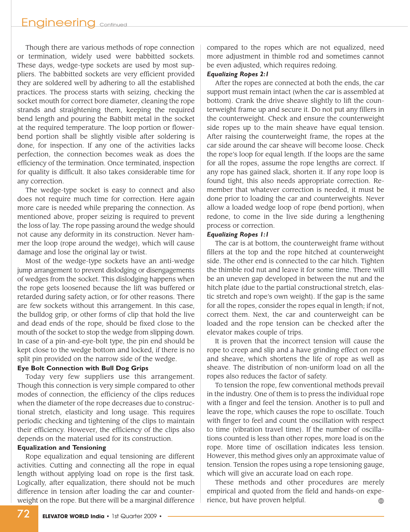Though there are various methods of rope connection or termination, widely used were babbitted sockets. These days, wedge-type sockets are used by most suppliers. The babbitted sockets are very efficient provided they are soldered well by adhering to all the established practices. The process starts with seizing, checking the socket mouth for correct bore diameter, cleaning the rope strands and straightening them, keeping the required bend length and pouring the Babbitt metal in the socket at the required temperature. The loop portion or flowerbend portion shall be slightly visible after soldering is done, for inspection. If any one of the activities lacks perfection, the connection becomes weak as does the efficiency of the termination. Once terminated, inspection for quality is difficult. It also takes considerable time for any correction.

The wedge-type socket is easy to connect and also does not require much time for correction. Here again more care is needed while preparing the connection. As mentioned above, proper seizing is required to prevent the loss of lay. The rope passing around the wedge should not cause any deformity in its construction. Never hammer the loop (rope around the wedge), which will cause damage and lose the original lay or twist.

Most of the wedge-type sockets have an anti-wedge jump arrangement to prevent dislodging or disengagements of wedges from the socket. This dislodging happens when the rope gets loosened because the lift was buffered or retarded during safety action, or for other reasons. There are few sockets without this arrangement. In this case, the bulldog grip, or other forms of clip that hold the live and dead ends of the rope, should be fixed close to the mouth of the socket to stop the wedge from slipping down. In case of a pin-and-eye-bolt type, the pin end should be kept close to the wedge bottom and locked, if there is no split pin provided on the narrow side of the wedge.

#### **Eye Bolt Connection with Bull Dog Grips**

Today very few suppliers use this arrangement. Though this connection is very simple compared to other modes of connection, the efficiency of the clips reduces when the diameter of the rope decreases due to constructional stretch, elasticity and long usage. This requires periodic checking and tightening of the clips to maintain their efficiency. However, the efficiency of the clips also depends on the material used for its construction.

#### **Equalization and Tensioning**

Rope equalization and equal tensioning are different activities. Cutting and connecting all the rope in equal length without applying load on rope is the first task. Logically, after equalization, there should not be much difference in tension after loading the car and counterweight on the rope. But there will be a marginal difference compared to the ropes which are not equalized, need more adjustment in thimble rod and sometimes cannot be even adjusted, which requires redoing.

#### *Equalizing Ropes 2:1*

After the ropes are connected at both the ends, the car support must remain intact (when the car is assembled at bottom). Crank the drive sheave slightly to lift the counterweight frame up and secure it. Do not put any fillers in the counterweight. Check and ensure the counterweight side ropes up to the main sheave have equal tension. After raising the counterweight frame, the ropes at the car side around the car sheave will become loose. Check the rope's loop for equal length. If the loops are the same for all the ropes, assume the rope lengths are correct. If any rope has gained slack, shorten it. If any rope loop is found tight, this also needs appropriate correction. Remember that whatever correction is needed, it must be done prior to loading the car and counterweights. Never allow a loaded wedge loop of rope (bend portion), when redone, to come in the live side during a lengthening process or correction.

#### *Equalizing Ropes 1:1*

The car is at bottom, the counterweight frame without fillers at the top and the rope hitched at counterweight side. The other end is connected to the car hitch. Tighten the thimble rod nut and leave it for some time. There will be an uneven gap developed in between the nut and the hitch plate (due to the partial constructional stretch, elastic stretch and rope's own weight). If the gap is the same for all the ropes, consider the ropes equal in length; if not, correct them. Next, the car and counterweight can be loaded and the rope tension can be checked after the elevator makes couple of trips.

It is proven that the incorrect tension will cause the rope to creep and slip and a have grinding effect on rope and sheave, which shortens the life of rope as well as sheave. The distribution of non-uniform load on all the ropes also reduces the factor of safety.

To tension the rope, few conventional methods prevail in the industry. One of them is to press the individual rope with a finger and feel the tension. Another is to pull and leave the rope, which causes the rope to oscillate. Touch with finger to feel and count the oscillation with respect to time (vibration travel time). If the number of oscillations counted is less than other ropes, more load is on the rope. More time of oscillation indicates less tension. However, this method gives only an approximate value of tension. Tension the ropes using a rope tensioning gauge, which will give an accurate load on each rope.

These methods and other procedures are merely empirical and quoted from the field and hands-on experience, but have proven helpful.  $\qquad \qquad \oplus$